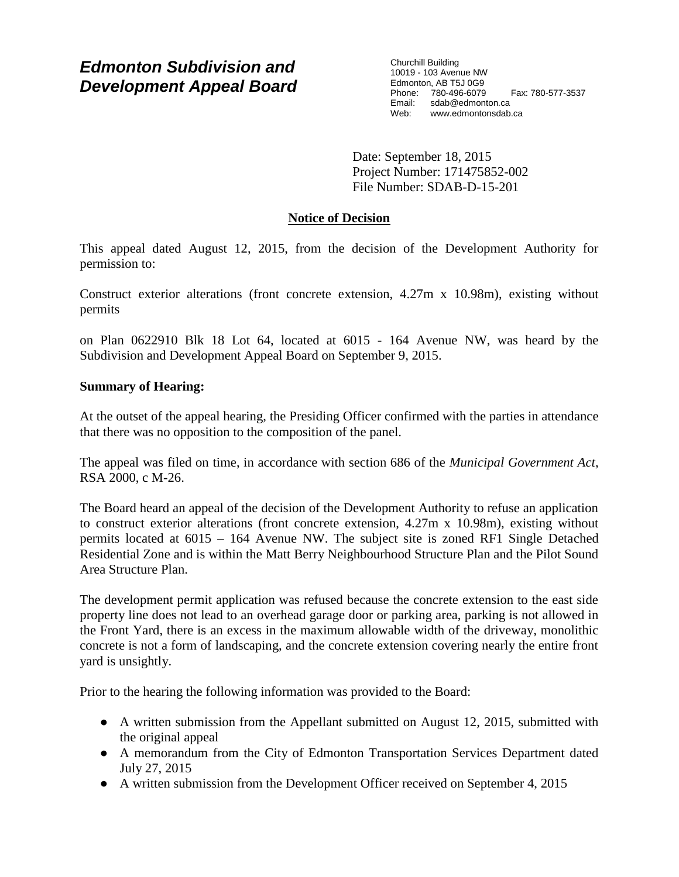# *Edmonton Subdivision and Development Appeal Board*

Churchill Building 10019 - 103 Avenue NW Edmonton, AB T5J 0G9 Phone: 780-496-6079 Fax: 780-577-3537 Email: sdab@edmonton.ca Web: www.edmontonsdab.ca

Date: September 18, 2015 Project Number: 171475852-002 File Number: SDAB-D-15-201

## **Notice of Decision**

This appeal dated August 12, 2015, from the decision of the Development Authority for permission to:

Construct exterior alterations (front concrete extension, 4.27m x 10.98m), existing without permits

on Plan 0622910 Blk 18 Lot 64, located at 6015 - 164 Avenue NW, was heard by the Subdivision and Development Appeal Board on September 9, 2015.

## **Summary of Hearing:**

At the outset of the appeal hearing, the Presiding Officer confirmed with the parties in attendance that there was no opposition to the composition of the panel.

The appeal was filed on time, in accordance with section 686 of the *Municipal Government Act*, RSA 2000, c M-26.

The Board heard an appeal of the decision of the Development Authority to refuse an application to construct exterior alterations (front concrete extension, 4.27m x 10.98m), existing without permits located at 6015 – 164 Avenue NW. The subject site is zoned RF1 Single Detached Residential Zone and is within the Matt Berry Neighbourhood Structure Plan and the Pilot Sound Area Structure Plan.

The development permit application was refused because the concrete extension to the east side property line does not lead to an overhead garage door or parking area, parking is not allowed in the Front Yard, there is an excess in the maximum allowable width of the driveway, monolithic concrete is not a form of landscaping, and the concrete extension covering nearly the entire front yard is unsightly.

Prior to the hearing the following information was provided to the Board:

- A written submission from the Appellant submitted on August 12, 2015, submitted with the original appeal
- A memorandum from the City of Edmonton Transportation Services Department dated July 27, 2015
- A written submission from the Development Officer received on September 4, 2015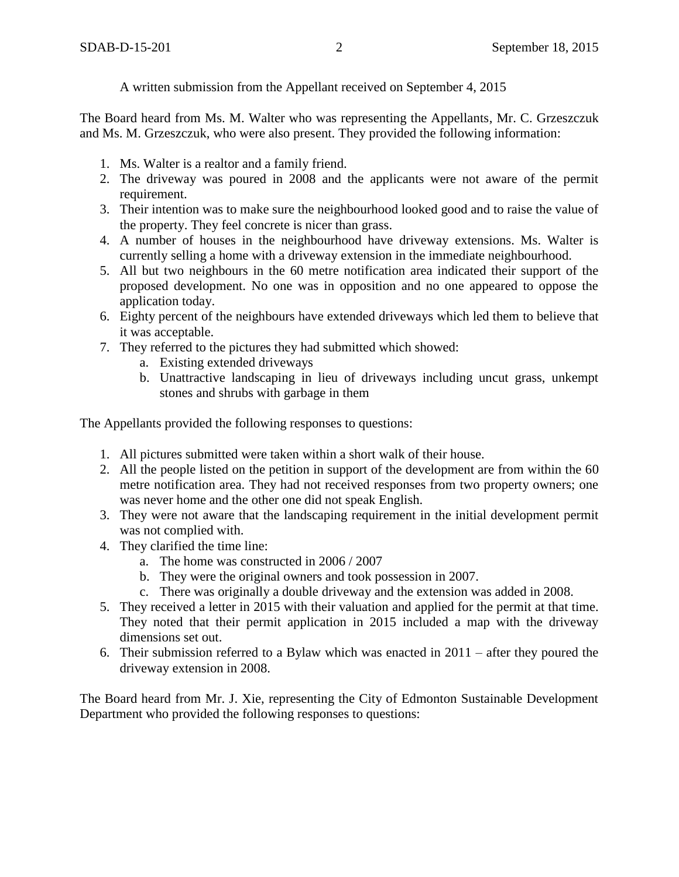A written submission from the Appellant received on September 4, 2015

The Board heard from Ms. M. Walter who was representing the Appellants, Mr. C. Grzeszczuk and Ms. M. Grzeszczuk, who were also present. They provided the following information:

- 1. Ms. Walter is a realtor and a family friend.
- 2. The driveway was poured in 2008 and the applicants were not aware of the permit requirement.
- 3. Their intention was to make sure the neighbourhood looked good and to raise the value of the property. They feel concrete is nicer than grass.
- 4. A number of houses in the neighbourhood have driveway extensions. Ms. Walter is currently selling a home with a driveway extension in the immediate neighbourhood.
- 5. All but two neighbours in the 60 metre notification area indicated their support of the proposed development. No one was in opposition and no one appeared to oppose the application today.
- 6. Eighty percent of the neighbours have extended driveways which led them to believe that it was acceptable.
- 7. They referred to the pictures they had submitted which showed:
	- a. Existing extended driveways
	- b. Unattractive landscaping in lieu of driveways including uncut grass, unkempt stones and shrubs with garbage in them

The Appellants provided the following responses to questions:

- 1. All pictures submitted were taken within a short walk of their house.
- 2. All the people listed on the petition in support of the development are from within the 60 metre notification area. They had not received responses from two property owners; one was never home and the other one did not speak English.
- 3. They were not aware that the landscaping requirement in the initial development permit was not complied with.
- 4. They clarified the time line:
	- a. The home was constructed in 2006 / 2007
	- b. They were the original owners and took possession in 2007.
	- c. There was originally a double driveway and the extension was added in 2008.
- 5. They received a letter in 2015 with their valuation and applied for the permit at that time. They noted that their permit application in 2015 included a map with the driveway dimensions set out.
- 6. Their submission referred to a Bylaw which was enacted in  $2011 -$  after they poured the driveway extension in 2008.

The Board heard from Mr. J. Xie, representing the City of Edmonton Sustainable Development Department who provided the following responses to questions: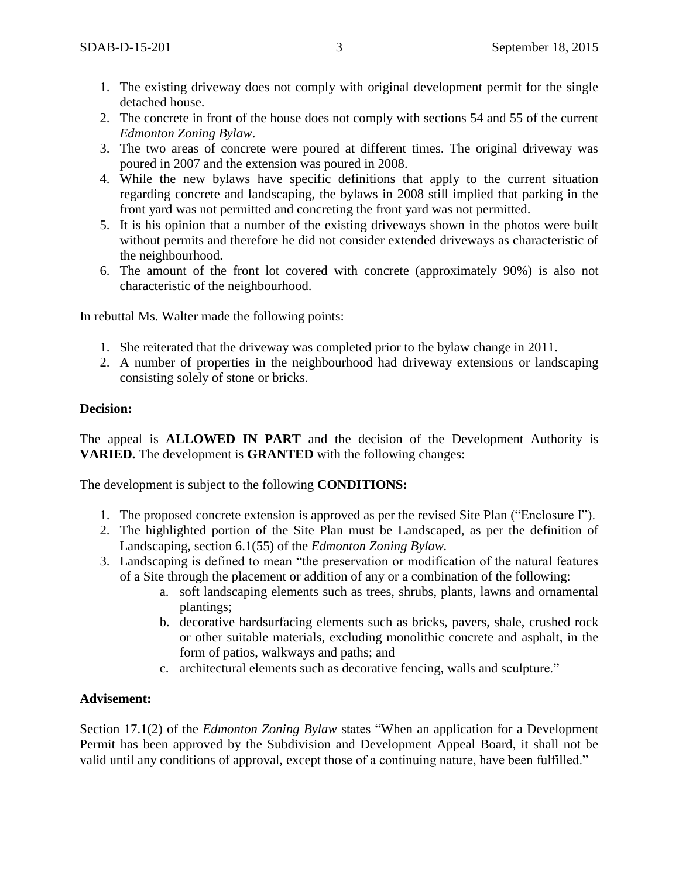- 1. The existing driveway does not comply with original development permit for the single detached house.
- 2. The concrete in front of the house does not comply with sections 54 and 55 of the current *Edmonton Zoning Bylaw*.
- 3. The two areas of concrete were poured at different times. The original driveway was poured in 2007 and the extension was poured in 2008.
- 4. While the new bylaws have specific definitions that apply to the current situation regarding concrete and landscaping, the bylaws in 2008 still implied that parking in the front yard was not permitted and concreting the front yard was not permitted.
- 5. It is his opinion that a number of the existing driveways shown in the photos were built without permits and therefore he did not consider extended driveways as characteristic of the neighbourhood.
- 6. The amount of the front lot covered with concrete (approximately 90%) is also not characteristic of the neighbourhood.

In rebuttal Ms. Walter made the following points:

- 1. She reiterated that the driveway was completed prior to the bylaw change in 2011.
- 2. A number of properties in the neighbourhood had driveway extensions or landscaping consisting solely of stone or bricks.

## **Decision:**

The appeal is **ALLOWED IN PART** and the decision of the Development Authority is **VARIED.** The development is **GRANTED** with the following changes:

The development is subject to the following **CONDITIONS:** 

- 1. The proposed concrete extension is approved as per the revised Site Plan ("Enclosure I").
- 2. The highlighted portion of the Site Plan must be Landscaped, as per the definition of Landscaping, section 6.1(55) of the *Edmonton Zoning Bylaw.*
- 3. Landscaping is defined to mean "the preservation or modification of the natural features of a Site through the placement or addition of any or a combination of the following:
	- a. soft landscaping elements such as trees, shrubs, plants, lawns and ornamental plantings;
	- b. decorative hardsurfacing elements such as bricks, pavers, shale, crushed rock or other suitable materials, excluding monolithic concrete and asphalt, in the form of patios, walkways and paths; and
	- c. architectural elements such as decorative fencing, walls and sculpture."

#### **Advisement:**

Section 17.1(2) of the *Edmonton Zoning Bylaw* states "When an application for a Development Permit has been approved by the Subdivision and Development Appeal Board, it shall not be valid until any conditions of approval, except those of a continuing nature, have been fulfilled."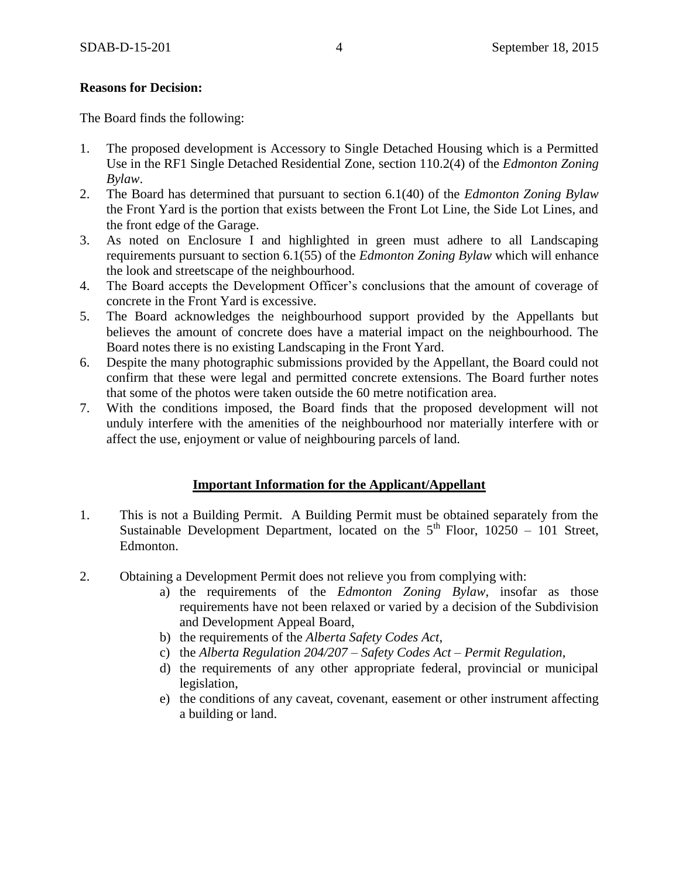## **Reasons for Decision:**

The Board finds the following:

- 1. The proposed development is Accessory to Single Detached Housing which is a Permitted Use in the RF1 Single Detached Residential Zone, section 110.2(4) of the *Edmonton Zoning Bylaw*.
- 2. The Board has determined that pursuant to section 6.1(40) of the *Edmonton Zoning Bylaw* the Front Yard is the portion that exists between the Front Lot Line, the Side Lot Lines, and the front edge of the Garage.
- 3. As noted on Enclosure I and highlighted in green must adhere to all Landscaping requirements pursuant to section 6.1(55) of the *Edmonton Zoning Bylaw* which will enhance the look and streetscape of the neighbourhood.
- 4. The Board accepts the Development Officer's conclusions that the amount of coverage of concrete in the Front Yard is excessive.
- 5. The Board acknowledges the neighbourhood support provided by the Appellants but believes the amount of concrete does have a material impact on the neighbourhood. The Board notes there is no existing Landscaping in the Front Yard.
- 6. Despite the many photographic submissions provided by the Appellant, the Board could not confirm that these were legal and permitted concrete extensions. The Board further notes that some of the photos were taken outside the 60 metre notification area.
- 7. With the conditions imposed, the Board finds that the proposed development will not unduly interfere with the amenities of the neighbourhood nor materially interfere with or affect the use, enjoyment or value of neighbouring parcels of land.

## **Important Information for the Applicant/Appellant**

- 1. This is not a Building Permit. A Building Permit must be obtained separately from the Sustainable Development Department, located on the  $5<sup>th</sup>$  Floor, 10250 – 101 Street, Edmonton.
- 2. Obtaining a Development Permit does not relieve you from complying with:
	- a) the requirements of the *Edmonton Zoning Bylaw*, insofar as those requirements have not been relaxed or varied by a decision of the Subdivision and Development Appeal Board,
	- b) the requirements of the *Alberta Safety Codes Act*,
	- c) the *Alberta Regulation 204/207 – Safety Codes Act – Permit Regulation*,
	- d) the requirements of any other appropriate federal, provincial or municipal legislation,
	- e) the conditions of any caveat, covenant, easement or other instrument affecting a building or land.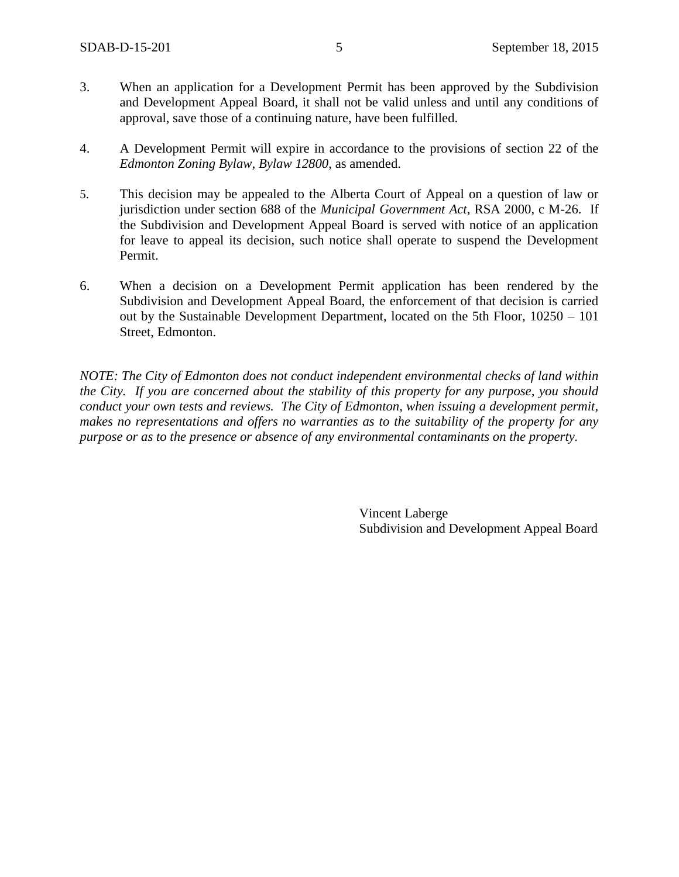- 3. When an application for a Development Permit has been approved by the Subdivision and Development Appeal Board, it shall not be valid unless and until any conditions of approval, save those of a continuing nature, have been fulfilled.
- 4. A Development Permit will expire in accordance to the provisions of section 22 of the *Edmonton Zoning Bylaw, Bylaw 12800*, as amended.
- 5. This decision may be appealed to the Alberta Court of Appeal on a question of law or jurisdiction under section 688 of the *Municipal Government Act*, RSA 2000, c M-26. If the Subdivision and Development Appeal Board is served with notice of an application for leave to appeal its decision, such notice shall operate to suspend the Development Permit.
- 6. When a decision on a Development Permit application has been rendered by the Subdivision and Development Appeal Board, the enforcement of that decision is carried out by the Sustainable Development Department, located on the 5th Floor, 10250 – 101 Street, Edmonton.

*NOTE: The City of Edmonton does not conduct independent environmental checks of land within the City. If you are concerned about the stability of this property for any purpose, you should conduct your own tests and reviews. The City of Edmonton, when issuing a development permit, makes no representations and offers no warranties as to the suitability of the property for any purpose or as to the presence or absence of any environmental contaminants on the property.*

> Vincent Laberge Subdivision and Development Appeal Board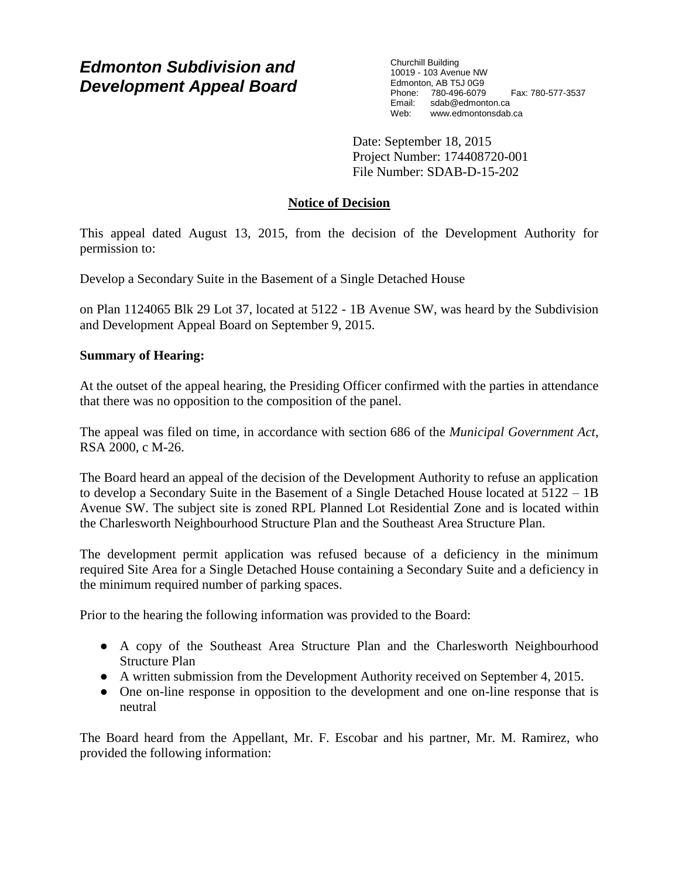# *Edmonton Subdivision and Development Appeal Board*

Churchill Building 10019 - 103 Avenue NW Edmonton, AB T5J 0G9 Phone: 780-496-6079 Fax: 780-577-3537 Email: sdab@edmonton.ca Web: www.edmontonsdab.ca

Date: September 18, 2015 Project Number: 174408720-001 File Number: SDAB-D-15-202

## **Notice of Decision**

This appeal dated August 13, 2015, from the decision of the Development Authority for permission to:

Develop a Secondary Suite in the Basement of a Single Detached House

on Plan 1124065 Blk 29 Lot 37, located at 5122 - 1B Avenue SW, was heard by the Subdivision and Development Appeal Board on September 9, 2015.

## **Summary of Hearing:**

At the outset of the appeal hearing, the Presiding Officer confirmed with the parties in attendance that there was no opposition to the composition of the panel.

The appeal was filed on time, in accordance with section 686 of the *Municipal Government Act*, RSA 2000, c M-26.

The Board heard an appeal of the decision of the Development Authority to refuse an application to develop a Secondary Suite in the Basement of a Single Detached House located at 5122 – 1B Avenue SW. The subject site is zoned RPL Planned Lot Residential Zone and is located within the Charlesworth Neighbourhood Structure Plan and the Southeast Area Structure Plan.

The development permit application was refused because of a deficiency in the minimum required Site Area for a Single Detached House containing a Secondary Suite and a deficiency in the minimum required number of parking spaces.

Prior to the hearing the following information was provided to the Board:

- A copy of the Southeast Area Structure Plan and the Charlesworth Neighbourhood Structure Plan
- A written submission from the Development Authority received on September 4, 2015.
- One on-line response in opposition to the development and one on-line response that is neutral

The Board heard from the Appellant, Mr. F. Escobar and his partner, Mr. M. Ramirez, who provided the following information: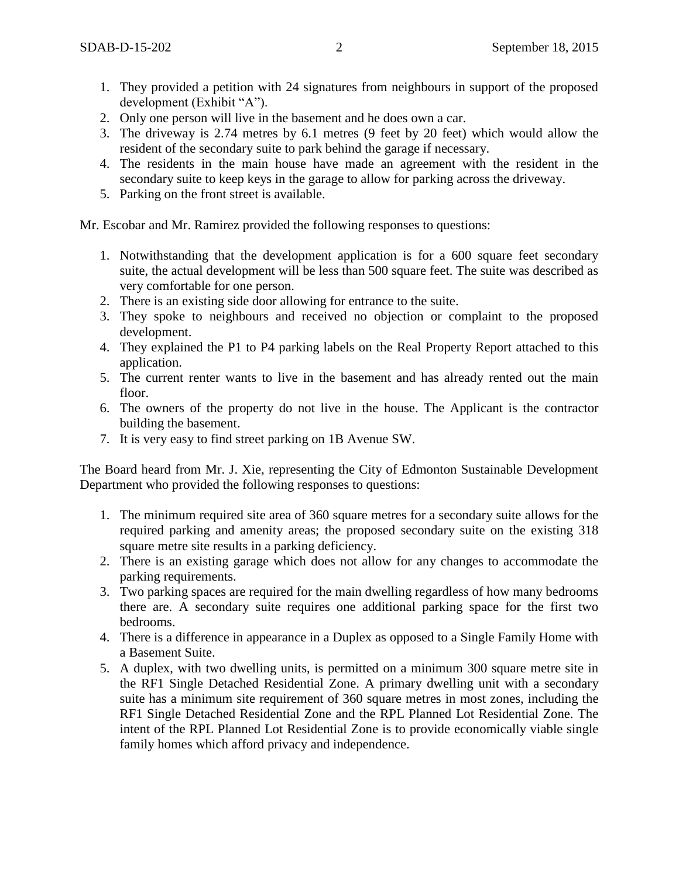- 1. They provided a petition with 24 signatures from neighbours in support of the proposed development (Exhibit "A").
- 2. Only one person will live in the basement and he does own a car.
- 3. The driveway is 2.74 metres by 6.1 metres (9 feet by 20 feet) which would allow the resident of the secondary suite to park behind the garage if necessary.
- 4. The residents in the main house have made an agreement with the resident in the secondary suite to keep keys in the garage to allow for parking across the driveway.
- 5. Parking on the front street is available.

Mr. Escobar and Mr. Ramirez provided the following responses to questions:

- 1. Notwithstanding that the development application is for a 600 square feet secondary suite, the actual development will be less than 500 square feet. The suite was described as very comfortable for one person.
- 2. There is an existing side door allowing for entrance to the suite.
- 3. They spoke to neighbours and received no objection or complaint to the proposed development.
- 4. They explained the P1 to P4 parking labels on the Real Property Report attached to this application.
- 5. The current renter wants to live in the basement and has already rented out the main floor.
- 6. The owners of the property do not live in the house. The Applicant is the contractor building the basement.
- 7. It is very easy to find street parking on 1B Avenue SW.

The Board heard from Mr. J. Xie, representing the City of Edmonton Sustainable Development Department who provided the following responses to questions:

- 1. The minimum required site area of 360 square metres for a secondary suite allows for the required parking and amenity areas; the proposed secondary suite on the existing 318 square metre site results in a parking deficiency.
- 2. There is an existing garage which does not allow for any changes to accommodate the parking requirements.
- 3. Two parking spaces are required for the main dwelling regardless of how many bedrooms there are. A secondary suite requires one additional parking space for the first two bedrooms.
- 4. There is a difference in appearance in a Duplex as opposed to a Single Family Home with a Basement Suite.
- 5. A duplex, with two dwelling units, is permitted on a minimum 300 square metre site in the RF1 Single Detached Residential Zone. A primary dwelling unit with a secondary suite has a minimum site requirement of 360 square metres in most zones, including the RF1 Single Detached Residential Zone and the RPL Planned Lot Residential Zone. The intent of the RPL Planned Lot Residential Zone is to provide economically viable single family homes which afford privacy and independence.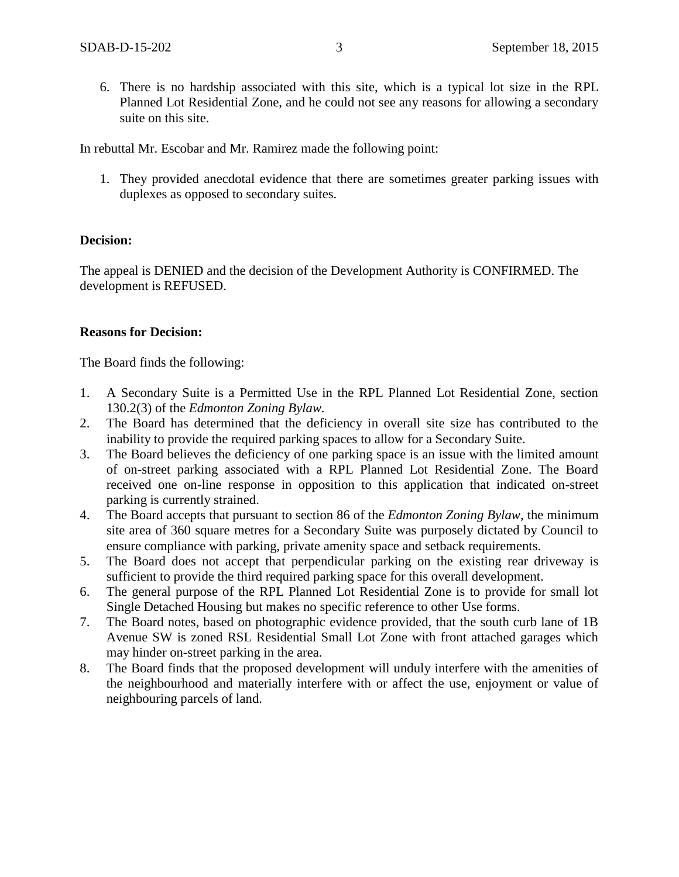6. There is no hardship associated with this site, which is a typical lot size in the RPL Planned Lot Residential Zone, and he could not see any reasons for allowing a secondary suite on this site.

In rebuttal Mr. Escobar and Mr. Ramirez made the following point:

1. They provided anecdotal evidence that there are sometimes greater parking issues with duplexes as opposed to secondary suites.

#### **Decision:**

The appeal is DENIED and the decision of the Development Authority is CONFIRMED. The development is REFUSED.

## **Reasons for Decision:**

The Board finds the following:

- 1. A Secondary Suite is a Permitted Use in the RPL Planned Lot Residential Zone, section 130.2(3) of the *Edmonton Zoning Bylaw.*
- 2. The Board has determined that the deficiency in overall site size has contributed to the inability to provide the required parking spaces to allow for a Secondary Suite.
- 3. The Board believes the deficiency of one parking space is an issue with the limited amount of on-street parking associated with a RPL Planned Lot Residential Zone. The Board received one on-line response in opposition to this application that indicated on-street parking is currently strained.
- 4. The Board accepts that pursuant to section 86 of the *Edmonton Zoning Bylaw*, the minimum site area of 360 square metres for a Secondary Suite was purposely dictated by Council to ensure compliance with parking, private amenity space and setback requirements.
- 5. The Board does not accept that perpendicular parking on the existing rear driveway is sufficient to provide the third required parking space for this overall development.
- 6. The general purpose of the RPL Planned Lot Residential Zone is to provide for small lot Single Detached Housing but makes no specific reference to other Use forms.
- 7. The Board notes, based on photographic evidence provided, that the south curb lane of 1B Avenue SW is zoned RSL Residential Small Lot Zone with front attached garages which may hinder on-street parking in the area.
- 8. The Board finds that the proposed development will unduly interfere with the amenities of the neighbourhood and materially interfere with or affect the use, enjoyment or value of neighbouring parcels of land.